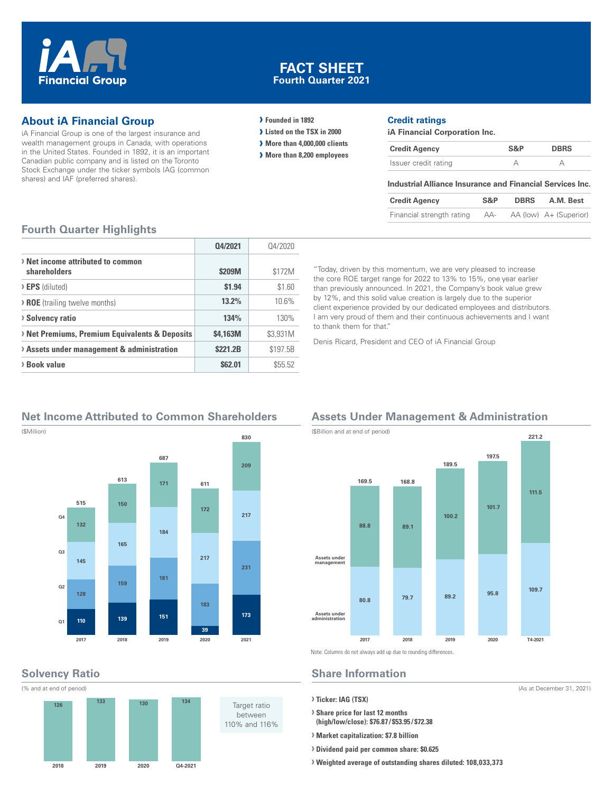

#### **FACT SHEET Fourth Quarter 2021**

#### **About iA Financial Group**

iA Financial Group is one of the largest insurance and wealth management groups in Canada, with operations in the United States. Founded in 1892, it is an important Canadian public company and is listed on the Toronto Stock Exchange under the ticker symbols IAG (common shares) and IAF (preferred shares).

#### **› Founded in 1892**

- **› Listed on the TSX in 2000**
- **› More than 4,000,000 clients**
- **› More than 8,200 employees**

#### **Credit ratings**

**iA Financial Corporation Inc.**

| <b>Credit Agency</b> | S&P | <b>DBRS</b> |
|----------------------|-----|-------------|
| Issuer credit rating |     |             |

#### **Industrial Alliance Insurance and Financial Services Inc.**

| <b>Credit Agency</b>      | S&P | <b>DBRS</b> | A.M. Best              |
|---------------------------|-----|-------------|------------------------|
| Financial strength rating | AA- |             | AA (low) A+ (Superior) |

#### **Fourth Quarter Highlights**

|                                                   | 04/2021  | 04/2020  |
|---------------------------------------------------|----------|----------|
| > Net income attributed to common<br>shareholders | \$209M   | \$172M   |
| $\triangleright$ <b>EPS</b> (diluted)             | \$1.94   | \$1.60   |
| <b>&gt; ROE</b> (trailing twelve months)          | $13.2\%$ | 10.6%    |
| <b>Solvency ratio</b>                             | 134%     | 130%     |
| > Net Premiums, Premium Equivalents & Deposits    | \$4.163M | \$3.931M |
| > Assets under management & administration        | \$221.2B | \$197.5B |
| > Book value                                      | \$62.01  | \$55.52  |

"Today, driven by this momentum, we are very pleased to increase the core ROE target range for 2022 to 13% to 15%, one year earlier than previously announced. In 2021, the Company's book value grew by 12%, and this solid value creation is largely due to the superior client experience provided by our dedicated employees and distributors. I am very proud of them and their continuous achievements and I want to thank them for that."

Denis Ricard, President and CEO of iA Financial Group

#### **Net Income Attributed to Common Shareholders**



## **Solvency Ratio**

(\$Million)



## **Assets Under Management & Administration**



Note: Columns do not always add up due to rounding differences.

#### **Share Information**

**› Ticker: IAG (TSX)**

**› Share price for last 12 months (high/low/close): \$76.87 / \$53.95 / \$72.38**

- **› Market capitalization: \$7.8 billion**
- **› Dividend paid per common share: \$0.625**
- **› Weighted average of outstanding shares diluted: 108,033,373**

(As at December 31, 2021)